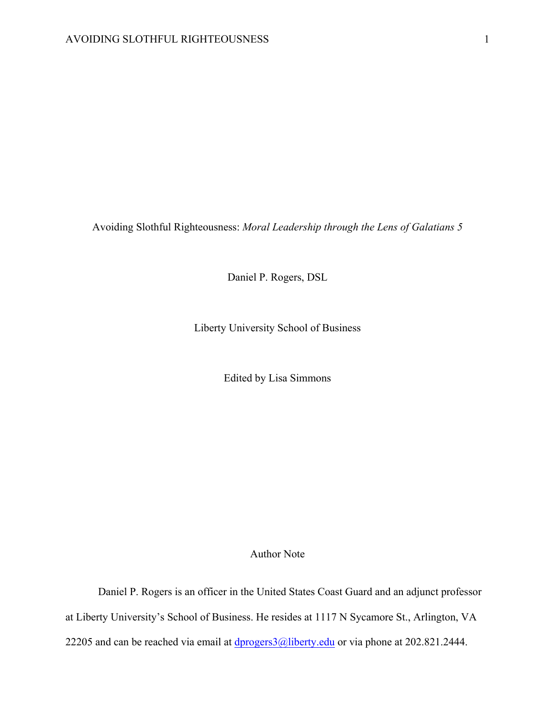Avoiding Slothful Righteousness: *Moral Leadership through the Lens of Galatians 5*

Daniel P. Rogers, DSL

Liberty University School of Business

Edited by Lisa Simmons

# Author Note

Daniel P. Rogers is an officer in the United States Coast Guard and an adjunct professor at Liberty University's School of Business. He resides at 1117 N Sycamore St., Arlington, VA 22205 and can be reached via email at  $\frac{dprogers3}{Q}$ liberty.edu or via phone at 202.821.2444.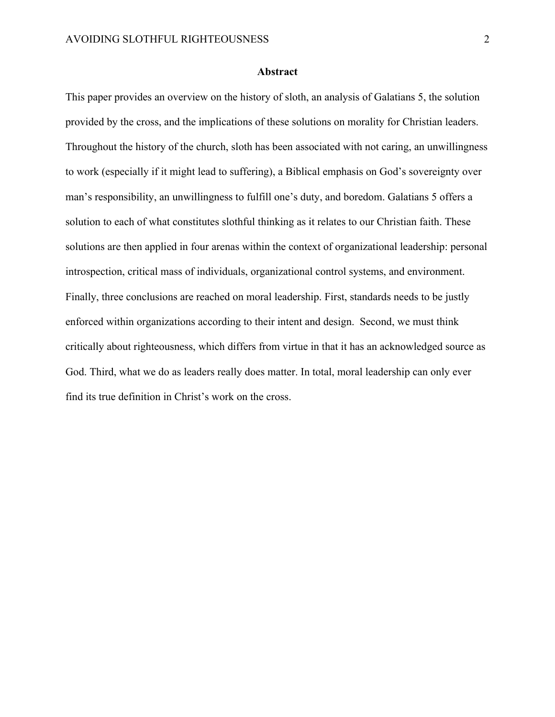#### **Abstract**

This paper provides an overview on the history of sloth, an analysis of Galatians 5, the solution provided by the cross, and the implications of these solutions on morality for Christian leaders. Throughout the history of the church, sloth has been associated with not caring, an unwillingness to work (especially if it might lead to suffering), a Biblical emphasis on God's sovereignty over man's responsibility, an unwillingness to fulfill one's duty, and boredom. Galatians 5 offers a solution to each of what constitutes slothful thinking as it relates to our Christian faith. These solutions are then applied in four arenas within the context of organizational leadership: personal introspection, critical mass of individuals, organizational control systems, and environment. Finally, three conclusions are reached on moral leadership. First, standards needs to be justly enforced within organizations according to their intent and design. Second, we must think critically about righteousness, which differs from virtue in that it has an acknowledged source as God. Third, what we do as leaders really does matter. In total, moral leadership can only ever find its true definition in Christ's work on the cross.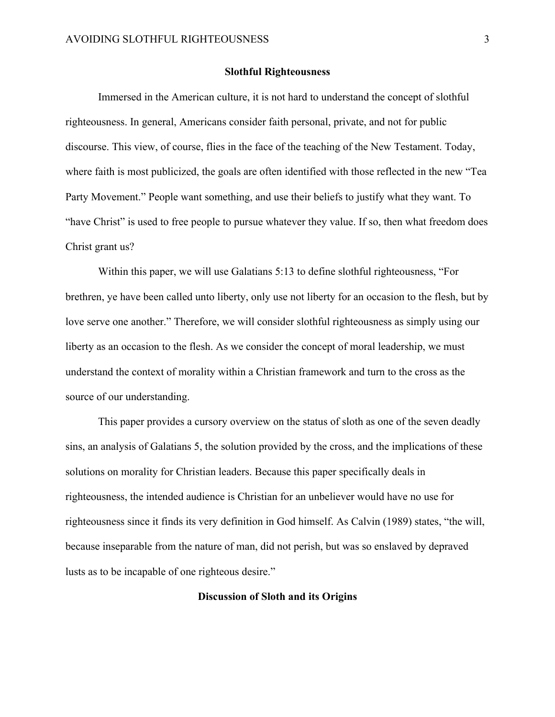#### **Slothful Righteousness**

Immersed in the American culture, it is not hard to understand the concept of slothful righteousness. In general, Americans consider faith personal, private, and not for public discourse. This view, of course, flies in the face of the teaching of the New Testament. Today, where faith is most publicized, the goals are often identified with those reflected in the new "Tea Party Movement." People want something, and use their beliefs to justify what they want. To "have Christ" is used to free people to pursue whatever they value. If so, then what freedom does Christ grant us?

Within this paper, we will use Galatians 5:13 to define slothful righteousness, "For brethren, ye have been called unto liberty, only use not liberty for an occasion to the flesh, but by love serve one another." Therefore, we will consider slothful righteousness as simply using our liberty as an occasion to the flesh. As we consider the concept of moral leadership, we must understand the context of morality within a Christian framework and turn to the cross as the source of our understanding.

This paper provides a cursory overview on the status of sloth as one of the seven deadly sins, an analysis of Galatians 5, the solution provided by the cross, and the implications of these solutions on morality for Christian leaders. Because this paper specifically deals in righteousness, the intended audience is Christian for an unbeliever would have no use for righteousness since it finds its very definition in God himself. As Calvin (1989) states, "the will, because inseparable from the nature of man, did not perish, but was so enslaved by depraved lusts as to be incapable of one righteous desire."

### **Discussion of Sloth and its Origins**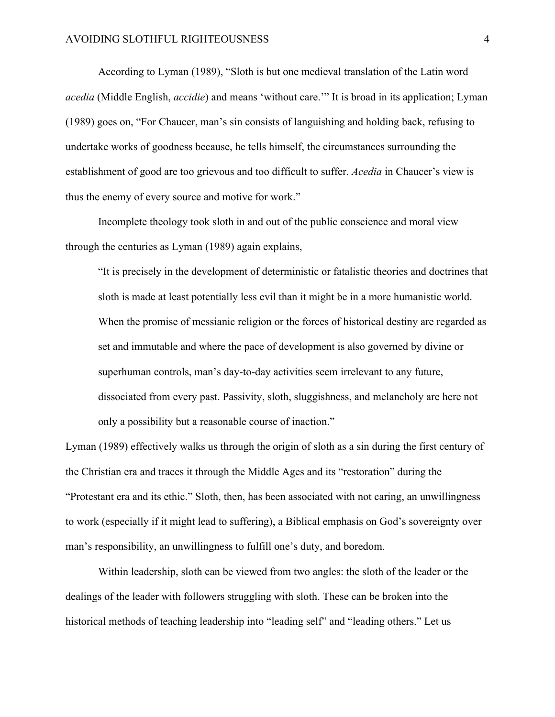According to Lyman (1989), "Sloth is but one medieval translation of the Latin word *acedia* (Middle English, *accidie*) and means 'without care.'" It is broad in its application; Lyman (1989) goes on, "For Chaucer, man's sin consists of languishing and holding back, refusing to undertake works of goodness because, he tells himself, the circumstances surrounding the establishment of good are too grievous and too difficult to suffer. *Acedia* in Chaucer's view is thus the enemy of every source and motive for work."

Incomplete theology took sloth in and out of the public conscience and moral view through the centuries as Lyman (1989) again explains,

"It is precisely in the development of deterministic or fatalistic theories and doctrines that sloth is made at least potentially less evil than it might be in a more humanistic world. When the promise of messianic religion or the forces of historical destiny are regarded as set and immutable and where the pace of development is also governed by divine or superhuman controls, man's day-to-day activities seem irrelevant to any future, dissociated from every past. Passivity, sloth, sluggishness, and melancholy are here not only a possibility but a reasonable course of inaction."

Lyman (1989) effectively walks us through the origin of sloth as a sin during the first century of the Christian era and traces it through the Middle Ages and its "restoration" during the "Protestant era and its ethic." Sloth, then, has been associated with not caring, an unwillingness to work (especially if it might lead to suffering), a Biblical emphasis on God's sovereignty over man's responsibility, an unwillingness to fulfill one's duty, and boredom.

Within leadership, sloth can be viewed from two angles: the sloth of the leader or the dealings of the leader with followers struggling with sloth. These can be broken into the historical methods of teaching leadership into "leading self" and "leading others." Let us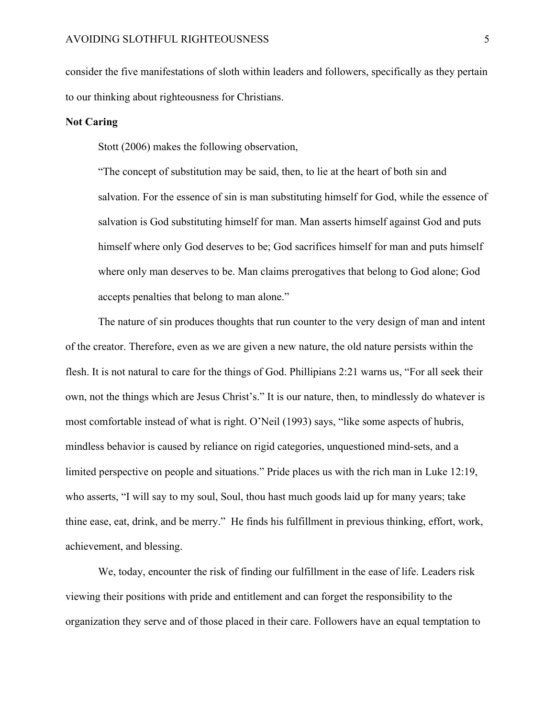consider the five manifestations of sloth within leaders and followers, specifically as they pertain to our thinking about righteousness for Christians.

### **Not Caring**

Stott (2006) makes the following observation,

"The concept of substitution may be said, then, to lie at the heart of both sin and salvation. For the essence of sin is man substituting himself for God, while the essence of salvation is God substituting himself for man. Man asserts himself against God and puts himself where only God deserves to be; God sacrifices himself for man and puts himself where only man deserves to be. Man claims prerogatives that belong to God alone; God accepts penalties that belong to man alone."

The nature of sin produces thoughts that run counter to the very design of man and intent of the creator. Therefore, even as we are given a new nature, the old nature persists within the flesh. It is not natural to care for the things of God. Phillipians 2:21 warns us, "For all seek their own, not the things which are Jesus Christ's." It is our nature, then, to mindlessly do whatever is most comfortable instead of what is right. O'Neil (1993) says, "like some aspects of hubris, mindless behavior is caused by reliance on rigid categories, unquestioned mind-sets, and a limited perspective on people and situations." Pride places us with the rich man in Luke 12:19, who asserts, "I will say to my soul, Soul, thou hast much goods laid up for many years; take thine ease, eat, drink, and be merry." He finds his fulfillment in previous thinking, effort, work, achievement, and blessing.

We, today, encounter the risk of finding our fulfillment in the ease of life. Leaders risk viewing their positions with pride and entitlement and can forget the responsibility to the organization they serve and of those placed in their care. Followers have an equal temptation to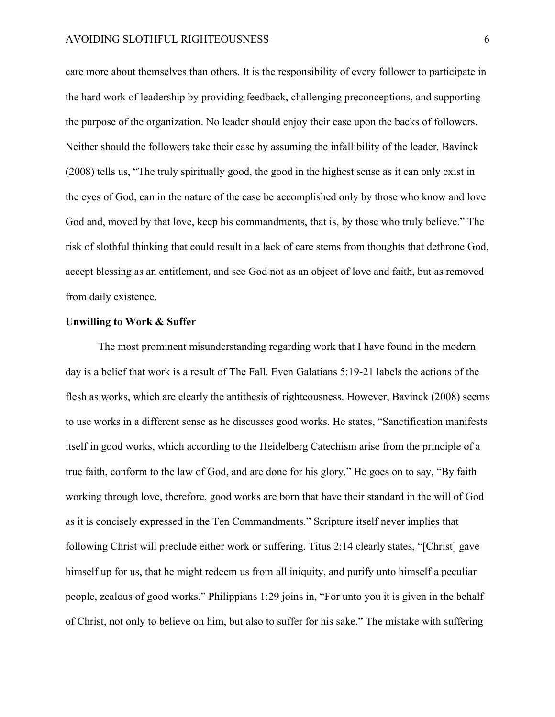#### AVOIDING SLOTHFUL RIGHTEOUSNESS 6

care more about themselves than others. It is the responsibility of every follower to participate in the hard work of leadership by providing feedback, challenging preconceptions, and supporting the purpose of the organization. No leader should enjoy their ease upon the backs of followers. Neither should the followers take their ease by assuming the infallibility of the leader. Bavinck (2008) tells us, "The truly spiritually good, the good in the highest sense as it can only exist in the eyes of God, can in the nature of the case be accomplished only by those who know and love God and, moved by that love, keep his commandments, that is, by those who truly believe." The risk of slothful thinking that could result in a lack of care stems from thoughts that dethrone God, accept blessing as an entitlement, and see God not as an object of love and faith, but as removed from daily existence.

### **Unwilling to Work & Suffer**

The most prominent misunderstanding regarding work that I have found in the modern day is a belief that work is a result of The Fall. Even Galatians 5:19-21 labels the actions of the flesh as works, which are clearly the antithesis of righteousness. However, Bavinck (2008) seems to use works in a different sense as he discusses good works. He states, "Sanctification manifests itself in good works, which according to the Heidelberg Catechism arise from the principle of a true faith, conform to the law of God, and are done for his glory." He goes on to say, "By faith working through love, therefore, good works are born that have their standard in the will of God as it is concisely expressed in the Ten Commandments." Scripture itself never implies that following Christ will preclude either work or suffering. Titus 2:14 clearly states, "[Christ] gave himself up for us, that he might redeem us from all iniquity, and purify unto himself a peculiar people, zealous of good works." Philippians 1:29 joins in, "For unto you it is given in the behalf of Christ, not only to believe on him, but also to suffer for his sake." The mistake with suffering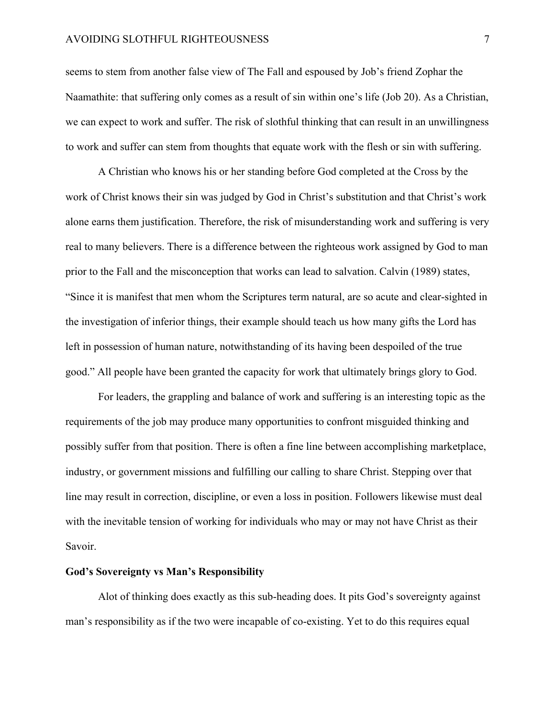#### AVOIDING SLOTHFUL RIGHTEOUSNESS **7**

seems to stem from another false view of The Fall and espoused by Job's friend Zophar the Naamathite: that suffering only comes as a result of sin within one's life (Job 20). As a Christian, we can expect to work and suffer. The risk of slothful thinking that can result in an unwillingness to work and suffer can stem from thoughts that equate work with the flesh or sin with suffering.

A Christian who knows his or her standing before God completed at the Cross by the work of Christ knows their sin was judged by God in Christ's substitution and that Christ's work alone earns them justification. Therefore, the risk of misunderstanding work and suffering is very real to many believers. There is a difference between the righteous work assigned by God to man prior to the Fall and the misconception that works can lead to salvation. Calvin (1989) states, "Since it is manifest that men whom the Scriptures term natural, are so acute and clear-sighted in the investigation of inferior things, their example should teach us how many gifts the Lord has left in possession of human nature, notwithstanding of its having been despoiled of the true good." All people have been granted the capacity for work that ultimately brings glory to God.

For leaders, the grappling and balance of work and suffering is an interesting topic as the requirements of the job may produce many opportunities to confront misguided thinking and possibly suffer from that position. There is often a fine line between accomplishing marketplace, industry, or government missions and fulfilling our calling to share Christ. Stepping over that line may result in correction, discipline, or even a loss in position. Followers likewise must deal with the inevitable tension of working for individuals who may or may not have Christ as their Savoir.

## **God's Sovereignty vs Man's Responsibility**

Alot of thinking does exactly as this sub-heading does. It pits God's sovereignty against man's responsibility as if the two were incapable of co-existing. Yet to do this requires equal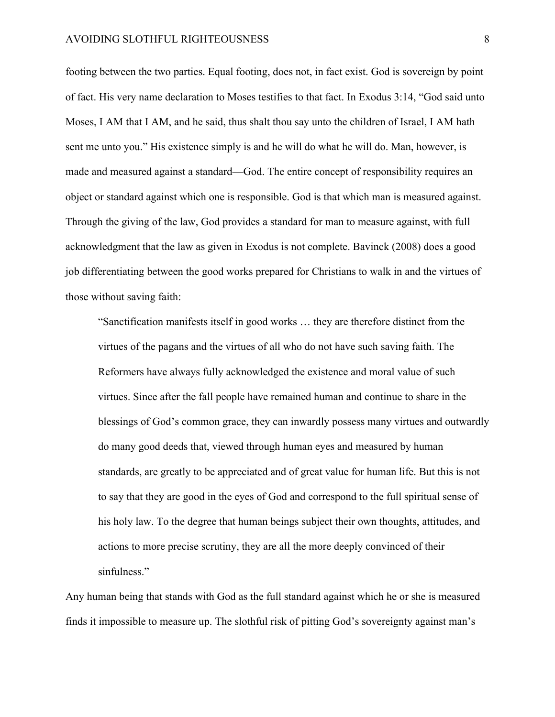footing between the two parties. Equal footing, does not, in fact exist. God is sovereign by point of fact. His very name declaration to Moses testifies to that fact. In Exodus 3:14, "God said unto Moses, I AM that I AM, and he said, thus shalt thou say unto the children of Israel, I AM hath sent me unto you." His existence simply is and he will do what he will do. Man, however, is made and measured against a standard—God. The entire concept of responsibility requires an object or standard against which one is responsible. God is that which man is measured against. Through the giving of the law, God provides a standard for man to measure against, with full acknowledgment that the law as given in Exodus is not complete. Bavinck (2008) does a good job differentiating between the good works prepared for Christians to walk in and the virtues of those without saving faith:

"Sanctification manifests itself in good works … they are therefore distinct from the virtues of the pagans and the virtues of all who do not have such saving faith. The Reformers have always fully acknowledged the existence and moral value of such virtues. Since after the fall people have remained human and continue to share in the blessings of God's common grace, they can inwardly possess many virtues and outwardly do many good deeds that, viewed through human eyes and measured by human standards, are greatly to be appreciated and of great value for human life. But this is not to say that they are good in the eyes of God and correspond to the full spiritual sense of his holy law. To the degree that human beings subject their own thoughts, attitudes, and actions to more precise scrutiny, they are all the more deeply convinced of their sinfulness."

Any human being that stands with God as the full standard against which he or she is measured finds it impossible to measure up. The slothful risk of pitting God's sovereignty against man's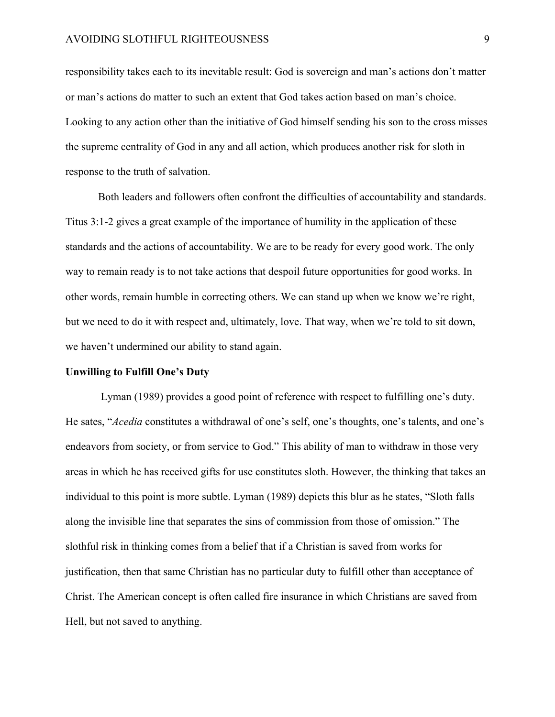#### AVOIDING SLOTHFUL RIGHTEOUSNESS 9

responsibility takes each to its inevitable result: God is sovereign and man's actions don't matter or man's actions do matter to such an extent that God takes action based on man's choice. Looking to any action other than the initiative of God himself sending his son to the cross misses the supreme centrality of God in any and all action, which produces another risk for sloth in response to the truth of salvation.

Both leaders and followers often confront the difficulties of accountability and standards. Titus 3:1-2 gives a great example of the importance of humility in the application of these standards and the actions of accountability. We are to be ready for every good work. The only way to remain ready is to not take actions that despoil future opportunities for good works. In other words, remain humble in correcting others. We can stand up when we know we're right, but we need to do it with respect and, ultimately, love. That way, when we're told to sit down, we haven't undermined our ability to stand again.

#### **Unwilling to Fulfill One's Duty**

Lyman (1989) provides a good point of reference with respect to fulfilling one's duty. He sates, "*Acedia* constitutes a withdrawal of one's self, one's thoughts, one's talents, and one's endeavors from society, or from service to God." This ability of man to withdraw in those very areas in which he has received gifts for use constitutes sloth. However, the thinking that takes an individual to this point is more subtle. Lyman (1989) depicts this blur as he states, "Sloth falls along the invisible line that separates the sins of commission from those of omission." The slothful risk in thinking comes from a belief that if a Christian is saved from works for justification, then that same Christian has no particular duty to fulfill other than acceptance of Christ. The American concept is often called fire insurance in which Christians are saved from Hell, but not saved to anything.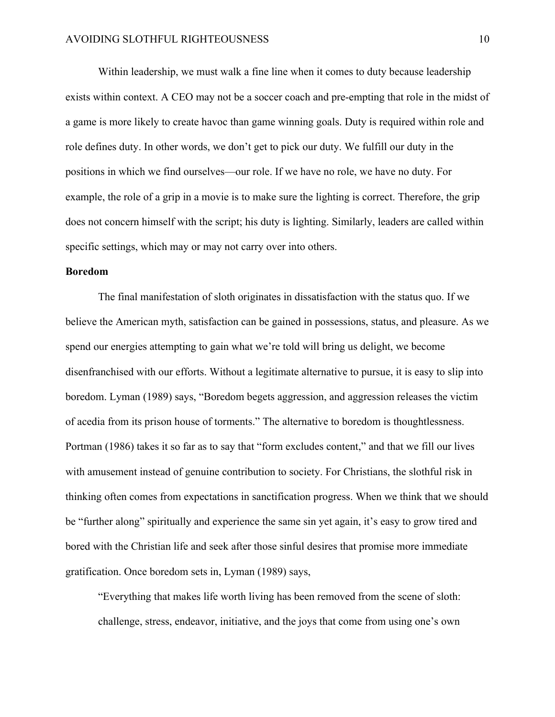Within leadership, we must walk a fine line when it comes to duty because leadership exists within context. A CEO may not be a soccer coach and pre-empting that role in the midst of a game is more likely to create havoc than game winning goals. Duty is required within role and role defines duty. In other words, we don't get to pick our duty. We fulfill our duty in the positions in which we find ourselves—our role. If we have no role, we have no duty. For example, the role of a grip in a movie is to make sure the lighting is correct. Therefore, the grip does not concern himself with the script; his duty is lighting. Similarly, leaders are called within specific settings, which may or may not carry over into others.

#### **Boredom**

The final manifestation of sloth originates in dissatisfaction with the status quo. If we believe the American myth, satisfaction can be gained in possessions, status, and pleasure. As we spend our energies attempting to gain what we're told will bring us delight, we become disenfranchised with our efforts. Without a legitimate alternative to pursue, it is easy to slip into boredom. Lyman (1989) says, "Boredom begets aggression, and aggression releases the victim of acedia from its prison house of torments." The alternative to boredom is thoughtlessness. Portman (1986) takes it so far as to say that "form excludes content," and that we fill our lives with amusement instead of genuine contribution to society. For Christians, the slothful risk in thinking often comes from expectations in sanctification progress. When we think that we should be "further along" spiritually and experience the same sin yet again, it's easy to grow tired and bored with the Christian life and seek after those sinful desires that promise more immediate gratification. Once boredom sets in, Lyman (1989) says,

"Everything that makes life worth living has been removed from the scene of sloth: challenge, stress, endeavor, initiative, and the joys that come from using one's own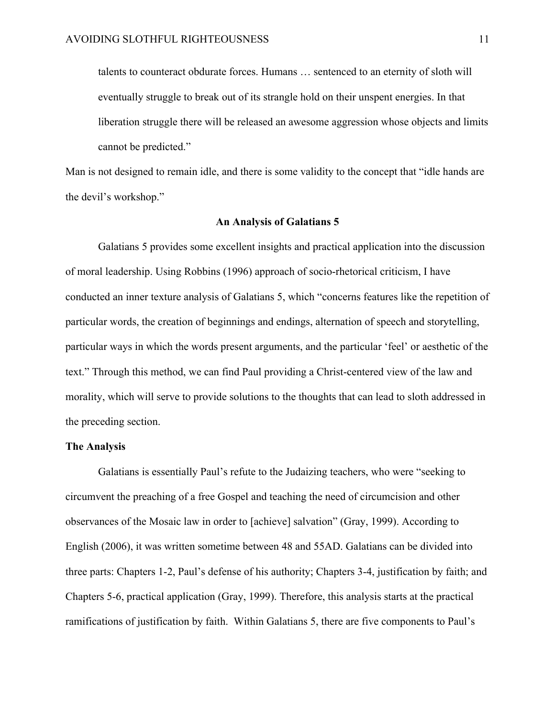talents to counteract obdurate forces. Humans … sentenced to an eternity of sloth will eventually struggle to break out of its strangle hold on their unspent energies. In that liberation struggle there will be released an awesome aggression whose objects and limits cannot be predicted."

Man is not designed to remain idle, and there is some validity to the concept that "idle hands are the devil's workshop."

#### **An Analysis of Galatians 5**

Galatians 5 provides some excellent insights and practical application into the discussion of moral leadership. Using Robbins (1996) approach of socio-rhetorical criticism, I have conducted an inner texture analysis of Galatians 5, which "concerns features like the repetition of particular words, the creation of beginnings and endings, alternation of speech and storytelling, particular ways in which the words present arguments, and the particular 'feel' or aesthetic of the text." Through this method, we can find Paul providing a Christ-centered view of the law and morality, which will serve to provide solutions to the thoughts that can lead to sloth addressed in the preceding section.

#### **The Analysis**

Galatians is essentially Paul's refute to the Judaizing teachers, who were "seeking to circumvent the preaching of a free Gospel and teaching the need of circumcision and other observances of the Mosaic law in order to [achieve] salvation" (Gray, 1999). According to English (2006), it was written sometime between 48 and 55AD. Galatians can be divided into three parts: Chapters 1-2, Paul's defense of his authority; Chapters 3-4, justification by faith; and Chapters 5-6, practical application (Gray, 1999). Therefore, this analysis starts at the practical ramifications of justification by faith. Within Galatians 5, there are five components to Paul's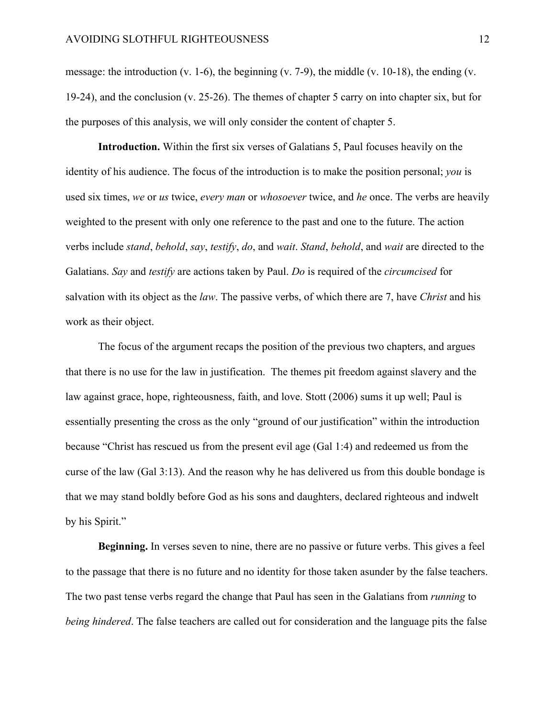message: the introduction (v. 1-6), the beginning (v. 7-9), the middle (v. 10-18), the ending (v. 19-24), and the conclusion (v. 25-26). The themes of chapter 5 carry on into chapter six, but for the purposes of this analysis, we will only consider the content of chapter 5.

**Introduction.** Within the first six verses of Galatians 5, Paul focuses heavily on the identity of his audience. The focus of the introduction is to make the position personal; *you* is used six times, *we* or *us* twice, *every man* or *whosoever* twice, and *he* once. The verbs are heavily weighted to the present with only one reference to the past and one to the future. The action verbs include *stand*, *behold*, *say*, *testify*, *do*, and *wait*. *Stand*, *behold*, and *wait* are directed to the Galatians. *Say* and *testify* are actions taken by Paul. *Do* is required of the *circumcised* for salvation with its object as the *law*. The passive verbs, of which there are 7, have *Christ* and his work as their object.

The focus of the argument recaps the position of the previous two chapters, and argues that there is no use for the law in justification. The themes pit freedom against slavery and the law against grace, hope, righteousness, faith, and love. Stott (2006) sums it up well; Paul is essentially presenting the cross as the only "ground of our justification" within the introduction because "Christ has rescued us from the present evil age (Gal 1:4) and redeemed us from the curse of the law (Gal 3:13). And the reason why he has delivered us from this double bondage is that we may stand boldly before God as his sons and daughters, declared righteous and indwelt by his Spirit."

**Beginning.** In verses seven to nine, there are no passive or future verbs. This gives a feel to the passage that there is no future and no identity for those taken asunder by the false teachers. The two past tense verbs regard the change that Paul has seen in the Galatians from *running* to *being hindered*. The false teachers are called out for consideration and the language pits the false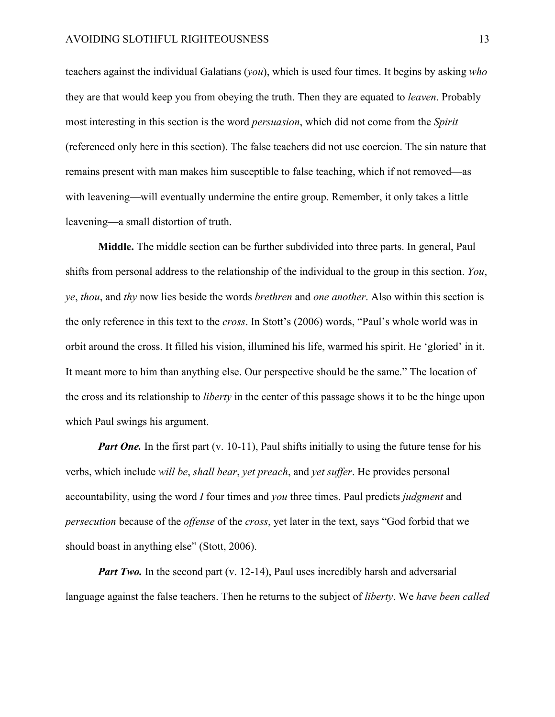teachers against the individual Galatians (*you*), which is used four times. It begins by asking *who* they are that would keep you from obeying the truth. Then they are equated to *leaven*. Probably most interesting in this section is the word *persuasion*, which did not come from the *Spirit* (referenced only here in this section). The false teachers did not use coercion. The sin nature that remains present with man makes him susceptible to false teaching, which if not removed—as with leavening—will eventually undermine the entire group. Remember, it only takes a little leavening—a small distortion of truth.

**Middle.** The middle section can be further subdivided into three parts. In general, Paul shifts from personal address to the relationship of the individual to the group in this section. *You*, *ye*, *thou*, and *thy* now lies beside the words *brethren* and *one another*. Also within this section is the only reference in this text to the *cross*. In Stott's (2006) words, "Paul's whole world was in orbit around the cross. It filled his vision, illumined his life, warmed his spirit. He 'gloried' in it. It meant more to him than anything else. Our perspective should be the same." The location of the cross and its relationship to *liberty* in the center of this passage shows it to be the hinge upon which Paul swings his argument.

*Part One.* In the first part (v. 10-11), Paul shifts initially to using the future tense for his verbs, which include *will be*, *shall bear*, *yet preach*, and *yet suffer*. He provides personal accountability, using the word *I* four times and *you* three times. Paul predicts *judgment* and *persecution* because of the *offense* of the *cross*, yet later in the text, says "God forbid that we should boast in anything else" (Stott, 2006).

*Part Two.* In the second part (v. 12-14), Paul uses incredibly harsh and adversarial language against the false teachers. Then he returns to the subject of *liberty*. We *have been called*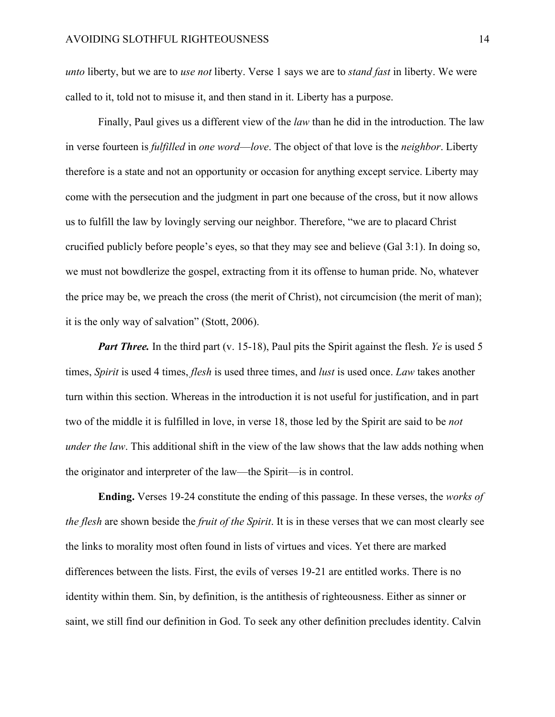*unto* liberty, but we are to *use not* liberty. Verse 1 says we are to *stand fast* in liberty. We were called to it, told not to misuse it, and then stand in it. Liberty has a purpose.

Finally, Paul gives us a different view of the *law* than he did in the introduction. The law in verse fourteen is *fulfilled* in *one word*—*love*. The object of that love is the *neighbor*. Liberty therefore is a state and not an opportunity or occasion for anything except service. Liberty may come with the persecution and the judgment in part one because of the cross, but it now allows us to fulfill the law by lovingly serving our neighbor. Therefore, "we are to placard Christ crucified publicly before people's eyes, so that they may see and believe (Gal 3:1). In doing so, we must not bowdlerize the gospel, extracting from it its offense to human pride. No, whatever the price may be, we preach the cross (the merit of Christ), not circumcision (the merit of man); it is the only way of salvation" (Stott, 2006).

*Part Three.* In the third part (v. 15-18), Paul pits the Spirit against the flesh. *Ye* is used 5 times, *Spirit* is used 4 times, *flesh* is used three times, and *lust* is used once. *Law* takes another turn within this section. Whereas in the introduction it is not useful for justification, and in part two of the middle it is fulfilled in love, in verse 18, those led by the Spirit are said to be *not under the law*. This additional shift in the view of the law shows that the law adds nothing when the originator and interpreter of the law—the Spirit—is in control.

**Ending.** Verses 19-24 constitute the ending of this passage. In these verses, the *works of the flesh* are shown beside the *fruit of the Spirit*. It is in these verses that we can most clearly see the links to morality most often found in lists of virtues and vices. Yet there are marked differences between the lists. First, the evils of verses 19-21 are entitled works. There is no identity within them. Sin, by definition, is the antithesis of righteousness. Either as sinner or saint, we still find our definition in God. To seek any other definition precludes identity. Calvin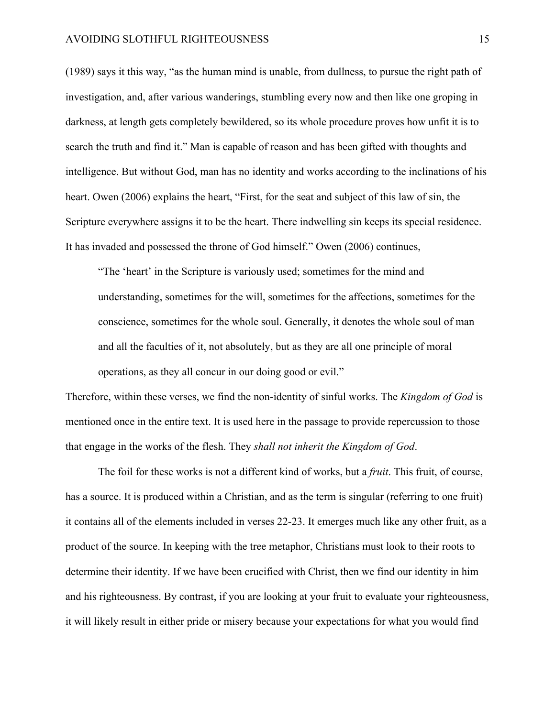(1989) says it this way, "as the human mind is unable, from dullness, to pursue the right path of investigation, and, after various wanderings, stumbling every now and then like one groping in darkness, at length gets completely bewildered, so its whole procedure proves how unfit it is to search the truth and find it." Man is capable of reason and has been gifted with thoughts and intelligence. But without God, man has no identity and works according to the inclinations of his heart. Owen (2006) explains the heart, "First, for the seat and subject of this law of sin, the Scripture everywhere assigns it to be the heart. There indwelling sin keeps its special residence. It has invaded and possessed the throne of God himself." Owen (2006) continues,

"The 'heart' in the Scripture is variously used; sometimes for the mind and understanding, sometimes for the will, sometimes for the affections, sometimes for the conscience, sometimes for the whole soul. Generally, it denotes the whole soul of man and all the faculties of it, not absolutely, but as they are all one principle of moral operations, as they all concur in our doing good or evil."

Therefore, within these verses, we find the non-identity of sinful works. The *Kingdom of God* is mentioned once in the entire text. It is used here in the passage to provide repercussion to those that engage in the works of the flesh. They *shall not inherit the Kingdom of God*.

The foil for these works is not a different kind of works, but a *fruit*. This fruit, of course, has a source. It is produced within a Christian, and as the term is singular (referring to one fruit) it contains all of the elements included in verses 22-23. It emerges much like any other fruit, as a product of the source. In keeping with the tree metaphor, Christians must look to their roots to determine their identity. If we have been crucified with Christ, then we find our identity in him and his righteousness. By contrast, if you are looking at your fruit to evaluate your righteousness, it will likely result in either pride or misery because your expectations for what you would find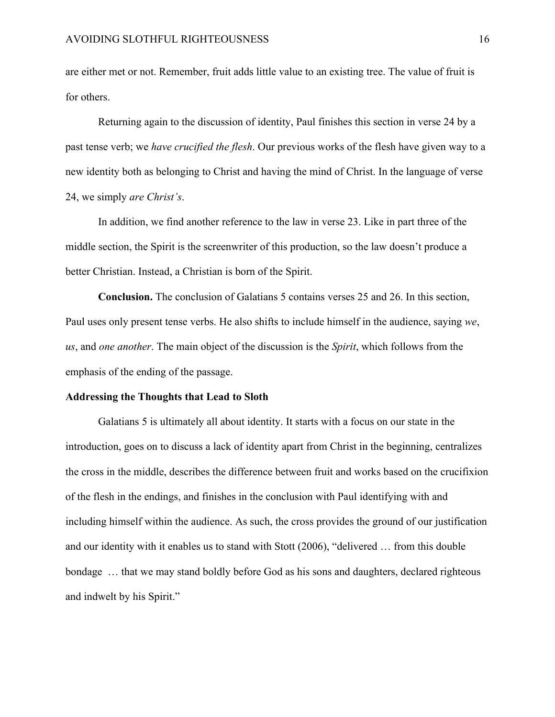are either met or not. Remember, fruit adds little value to an existing tree. The value of fruit is for others.

Returning again to the discussion of identity, Paul finishes this section in verse 24 by a past tense verb; we *have crucified the flesh*. Our previous works of the flesh have given way to a new identity both as belonging to Christ and having the mind of Christ. In the language of verse 24, we simply *are Christ's*.

In addition, we find another reference to the law in verse 23. Like in part three of the middle section, the Spirit is the screenwriter of this production, so the law doesn't produce a better Christian. Instead, a Christian is born of the Spirit.

**Conclusion.** The conclusion of Galatians 5 contains verses 25 and 26. In this section, Paul uses only present tense verbs. He also shifts to include himself in the audience, saying *we*, *us*, and *one another*. The main object of the discussion is the *Spirit*, which follows from the emphasis of the ending of the passage.

#### **Addressing the Thoughts that Lead to Sloth**

Galatians 5 is ultimately all about identity. It starts with a focus on our state in the introduction, goes on to discuss a lack of identity apart from Christ in the beginning, centralizes the cross in the middle, describes the difference between fruit and works based on the crucifixion of the flesh in the endings, and finishes in the conclusion with Paul identifying with and including himself within the audience. As such, the cross provides the ground of our justification and our identity with it enables us to stand with Stott (2006), "delivered … from this double bondage … that we may stand boldly before God as his sons and daughters, declared righteous and indwelt by his Spirit."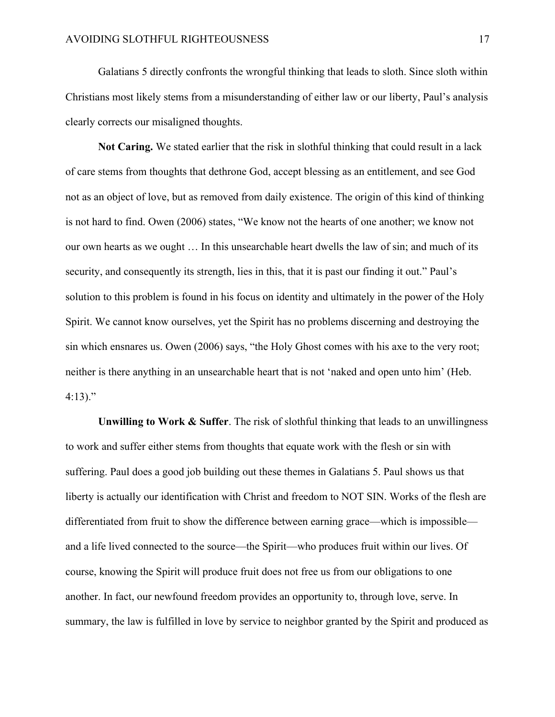Galatians 5 directly confronts the wrongful thinking that leads to sloth. Since sloth within Christians most likely stems from a misunderstanding of either law or our liberty, Paul's analysis clearly corrects our misaligned thoughts.

**Not Caring.** We stated earlier that the risk in slothful thinking that could result in a lack of care stems from thoughts that dethrone God, accept blessing as an entitlement, and see God not as an object of love, but as removed from daily existence. The origin of this kind of thinking is not hard to find. Owen (2006) states, "We know not the hearts of one another; we know not our own hearts as we ought … In this unsearchable heart dwells the law of sin; and much of its security, and consequently its strength, lies in this, that it is past our finding it out." Paul's solution to this problem is found in his focus on identity and ultimately in the power of the Holy Spirit. We cannot know ourselves, yet the Spirit has no problems discerning and destroying the sin which ensnares us. Owen (2006) says, "the Holy Ghost comes with his axe to the very root; neither is there anything in an unsearchable heart that is not 'naked and open unto him' (Heb. 4:13)."

**Unwilling to Work & Suffer**. The risk of slothful thinking that leads to an unwillingness to work and suffer either stems from thoughts that equate work with the flesh or sin with suffering. Paul does a good job building out these themes in Galatians 5. Paul shows us that liberty is actually our identification with Christ and freedom to NOT SIN. Works of the flesh are differentiated from fruit to show the difference between earning grace—which is impossible and a life lived connected to the source—the Spirit—who produces fruit within our lives. Of course, knowing the Spirit will produce fruit does not free us from our obligations to one another. In fact, our newfound freedom provides an opportunity to, through love, serve. In summary, the law is fulfilled in love by service to neighbor granted by the Spirit and produced as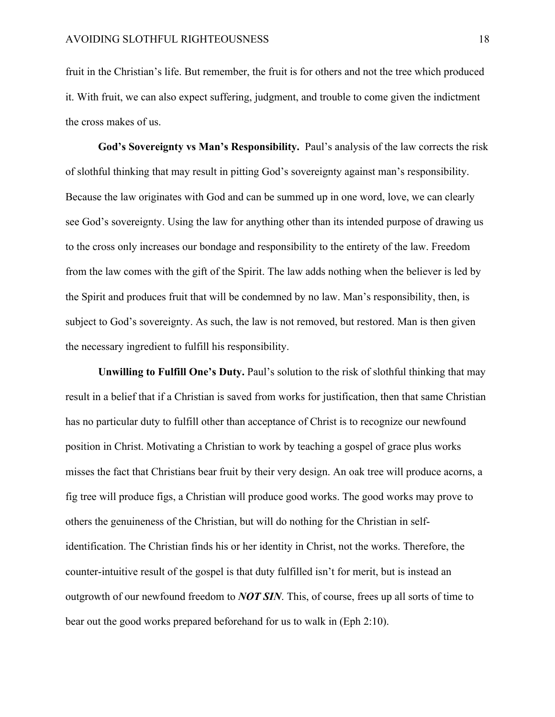fruit in the Christian's life. But remember, the fruit is for others and not the tree which produced it. With fruit, we can also expect suffering, judgment, and trouble to come given the indictment the cross makes of us.

**God's Sovereignty vs Man's Responsibility.** Paul's analysis of the law corrects the risk of slothful thinking that may result in pitting God's sovereignty against man's responsibility. Because the law originates with God and can be summed up in one word, love, we can clearly see God's sovereignty. Using the law for anything other than its intended purpose of drawing us to the cross only increases our bondage and responsibility to the entirety of the law. Freedom from the law comes with the gift of the Spirit. The law adds nothing when the believer is led by the Spirit and produces fruit that will be condemned by no law. Man's responsibility, then, is subject to God's sovereignty. As such, the law is not removed, but restored. Man is then given the necessary ingredient to fulfill his responsibility.

Unwilling to Fulfill One's Duty. Paul's solution to the risk of slothful thinking that may result in a belief that if a Christian is saved from works for justification, then that same Christian has no particular duty to fulfill other than acceptance of Christ is to recognize our newfound position in Christ. Motivating a Christian to work by teaching a gospel of grace plus works misses the fact that Christians bear fruit by their very design. An oak tree will produce acorns, a fig tree will produce figs, a Christian will produce good works. The good works may prove to others the genuineness of the Christian, but will do nothing for the Christian in selfidentification. The Christian finds his or her identity in Christ, not the works. Therefore, the counter-intuitive result of the gospel is that duty fulfilled isn't for merit, but is instead an outgrowth of our newfound freedom to *NOT SIN*. This, of course, frees up all sorts of time to bear out the good works prepared beforehand for us to walk in (Eph 2:10).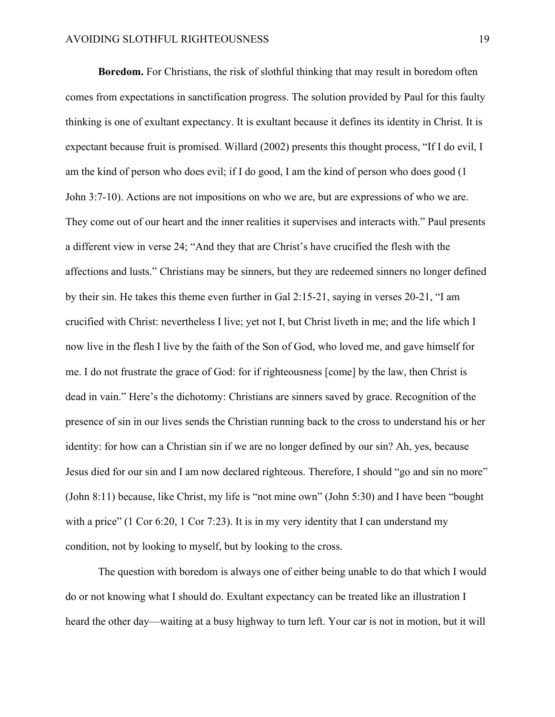**Boredom.** For Christians, the risk of slothful thinking that may result in boredom often comes from expectations in sanctification progress. The solution provided by Paul for this faulty thinking is one of exultant expectancy. It is exultant because it defines its identity in Christ. It is expectant because fruit is promised. Willard (2002) presents this thought process, "If I do evil, I am the kind of person who does evil; if I do good, I am the kind of person who does good (1 John 3:7-10). Actions are not impositions on who we are, but are expressions of who we are. They come out of our heart and the inner realities it supervises and interacts with." Paul presents a different view in verse 24; "And they that are Christ's have crucified the flesh with the affections and lusts." Christians may be sinners, but they are redeemed sinners no longer defined by their sin. He takes this theme even further in Gal 2:15-21, saying in verses 20-21, "I am crucified with Christ: nevertheless I live; yet not I, but Christ liveth in me; and the life which I now live in the flesh I live by the faith of the Son of God, who loved me, and gave himself for me. I do not frustrate the grace of God: for if righteousness [come] by the law, then Christ is dead in vain." Here's the dichotomy: Christians are sinners saved by grace. Recognition of the presence of sin in our lives sends the Christian running back to the cross to understand his or her identity: for how can a Christian sin if we are no longer defined by our sin? Ah, yes, because Jesus died for our sin and I am now declared righteous. Therefore, I should "go and sin no more" (John 8:11) because, like Christ, my life is "not mine own" (John 5:30) and I have been "bought with a price" (1 Cor 6:20, 1 Cor 7:23). It is in my very identity that I can understand my condition, not by looking to myself, but by looking to the cross.

The question with boredom is always one of either being unable to do that which I would do or not knowing what I should do. Exultant expectancy can be treated like an illustration I heard the other day—waiting at a busy highway to turn left. Your car is not in motion, but it will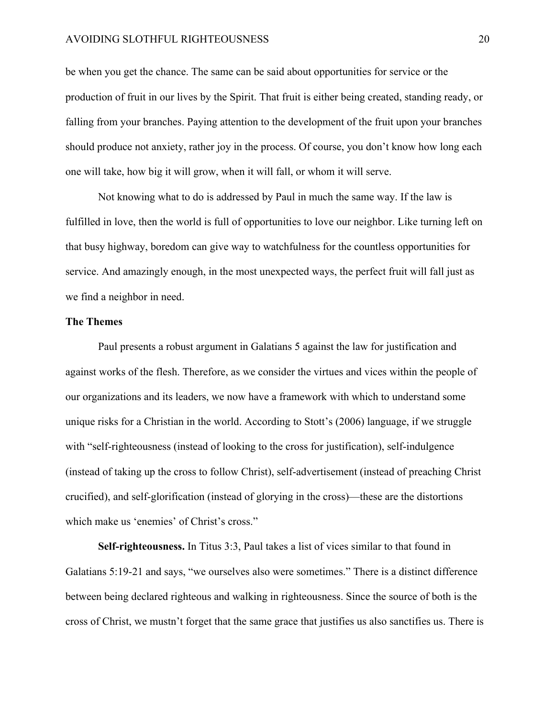#### AVOIDING SLOTHFUL RIGHTEOUSNESS 20

be when you get the chance. The same can be said about opportunities for service or the production of fruit in our lives by the Spirit. That fruit is either being created, standing ready, or falling from your branches. Paying attention to the development of the fruit upon your branches should produce not anxiety, rather joy in the process. Of course, you don't know how long each one will take, how big it will grow, when it will fall, or whom it will serve.

Not knowing what to do is addressed by Paul in much the same way. If the law is fulfilled in love, then the world is full of opportunities to love our neighbor. Like turning left on that busy highway, boredom can give way to watchfulness for the countless opportunities for service. And amazingly enough, in the most unexpected ways, the perfect fruit will fall just as we find a neighbor in need.

# **The Themes**

Paul presents a robust argument in Galatians 5 against the law for justification and against works of the flesh. Therefore, as we consider the virtues and vices within the people of our organizations and its leaders, we now have a framework with which to understand some unique risks for a Christian in the world. According to Stott's (2006) language, if we struggle with "self-righteousness (instead of looking to the cross for justification), self-indulgence (instead of taking up the cross to follow Christ), self-advertisement (instead of preaching Christ crucified), and self-glorification (instead of glorying in the cross)—these are the distortions which make us 'enemies' of Christ's cross."

**Self-righteousness.** In Titus 3:3, Paul takes a list of vices similar to that found in Galatians 5:19-21 and says, "we ourselves also were sometimes." There is a distinct difference between being declared righteous and walking in righteousness. Since the source of both is the cross of Christ, we mustn't forget that the same grace that justifies us also sanctifies us. There is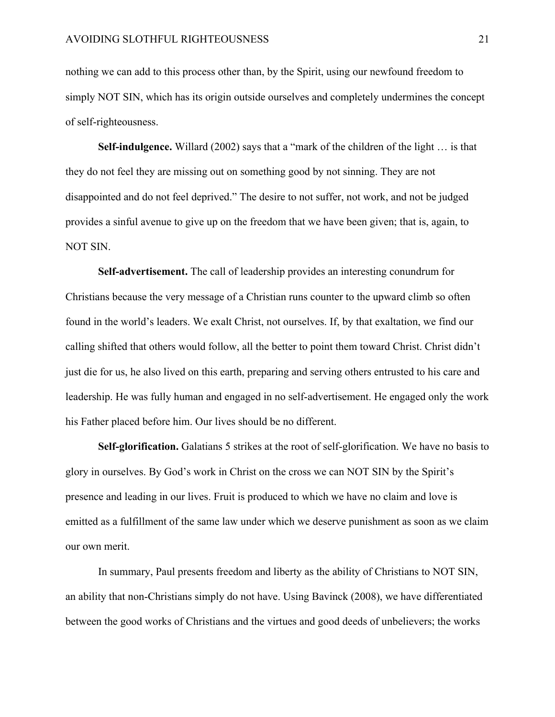nothing we can add to this process other than, by the Spirit, using our newfound freedom to simply NOT SIN, which has its origin outside ourselves and completely undermines the concept of self-righteousness.

**Self-indulgence.** Willard (2002) says that a "mark of the children of the light … is that they do not feel they are missing out on something good by not sinning. They are not disappointed and do not feel deprived." The desire to not suffer, not work, and not be judged provides a sinful avenue to give up on the freedom that we have been given; that is, again, to NOT SIN.

**Self-advertisement.** The call of leadership provides an interesting conundrum for Christians because the very message of a Christian runs counter to the upward climb so often found in the world's leaders. We exalt Christ, not ourselves. If, by that exaltation, we find our calling shifted that others would follow, all the better to point them toward Christ. Christ didn't just die for us, he also lived on this earth, preparing and serving others entrusted to his care and leadership. He was fully human and engaged in no self-advertisement. He engaged only the work his Father placed before him. Our lives should be no different.

**Self-glorification.** Galatians 5 strikes at the root of self-glorification. We have no basis to glory in ourselves. By God's work in Christ on the cross we can NOT SIN by the Spirit's presence and leading in our lives. Fruit is produced to which we have no claim and love is emitted as a fulfillment of the same law under which we deserve punishment as soon as we claim our own merit.

In summary, Paul presents freedom and liberty as the ability of Christians to NOT SIN, an ability that non-Christians simply do not have. Using Bavinck (2008), we have differentiated between the good works of Christians and the virtues and good deeds of unbelievers; the works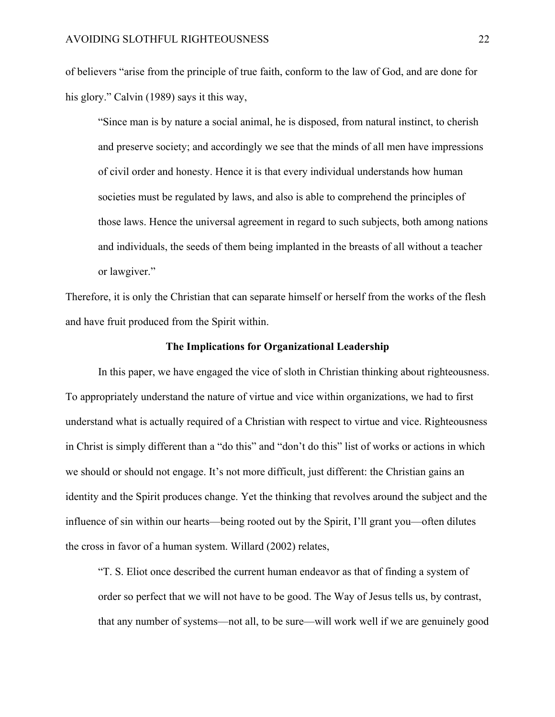of believers "arise from the principle of true faith, conform to the law of God, and are done for his glory." Calvin (1989) says it this way,

"Since man is by nature a social animal, he is disposed, from natural instinct, to cherish and preserve society; and accordingly we see that the minds of all men have impressions of civil order and honesty. Hence it is that every individual understands how human societies must be regulated by laws, and also is able to comprehend the principles of those laws. Hence the universal agreement in regard to such subjects, both among nations and individuals, the seeds of them being implanted in the breasts of all without a teacher or lawgiver."

Therefore, it is only the Christian that can separate himself or herself from the works of the flesh and have fruit produced from the Spirit within.

#### **The Implications for Organizational Leadership**

In this paper, we have engaged the vice of sloth in Christian thinking about righteousness. To appropriately understand the nature of virtue and vice within organizations, we had to first understand what is actually required of a Christian with respect to virtue and vice. Righteousness in Christ is simply different than a "do this" and "don't do this" list of works or actions in which we should or should not engage. It's not more difficult, just different: the Christian gains an identity and the Spirit produces change. Yet the thinking that revolves around the subject and the influence of sin within our hearts—being rooted out by the Spirit, I'll grant you—often dilutes the cross in favor of a human system. Willard (2002) relates,

"T. S. Eliot once described the current human endeavor as that of finding a system of order so perfect that we will not have to be good. The Way of Jesus tells us, by contrast, that any number of systems—not all, to be sure—will work well if we are genuinely good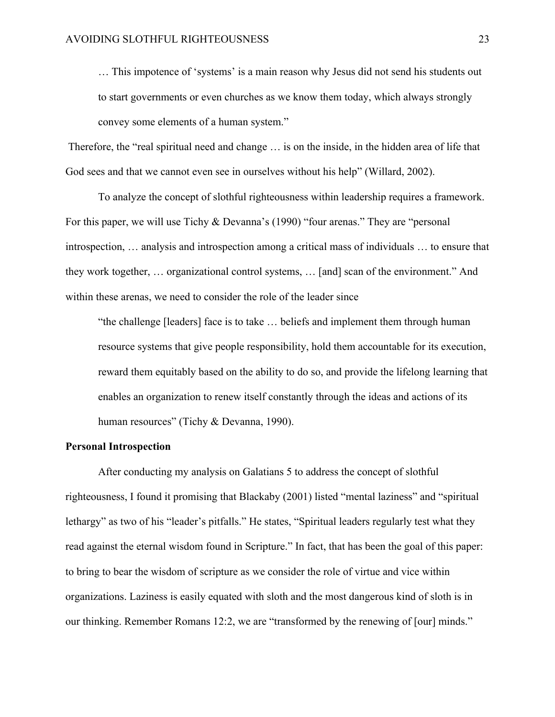… This impotence of 'systems' is a main reason why Jesus did not send his students out to start governments or even churches as we know them today, which always strongly convey some elements of a human system."

Therefore, the "real spiritual need and change … is on the inside, in the hidden area of life that God sees and that we cannot even see in ourselves without his help" (Willard, 2002).

To analyze the concept of slothful righteousness within leadership requires a framework. For this paper, we will use Tichy & Devanna's (1990) "four arenas." They are "personal introspection, … analysis and introspection among a critical mass of individuals … to ensure that they work together, … organizational control systems, … [and] scan of the environment." And within these arenas, we need to consider the role of the leader since

"the challenge [leaders] face is to take … beliefs and implement them through human resource systems that give people responsibility, hold them accountable for its execution, reward them equitably based on the ability to do so, and provide the lifelong learning that enables an organization to renew itself constantly through the ideas and actions of its human resources" (Tichy & Devanna, 1990).

#### **Personal Introspection**

After conducting my analysis on Galatians 5 to address the concept of slothful righteousness, I found it promising that Blackaby (2001) listed "mental laziness" and "spiritual lethargy" as two of his "leader's pitfalls." He states, "Spiritual leaders regularly test what they read against the eternal wisdom found in Scripture." In fact, that has been the goal of this paper: to bring to bear the wisdom of scripture as we consider the role of virtue and vice within organizations. Laziness is easily equated with sloth and the most dangerous kind of sloth is in our thinking. Remember Romans 12:2, we are "transformed by the renewing of [our] minds."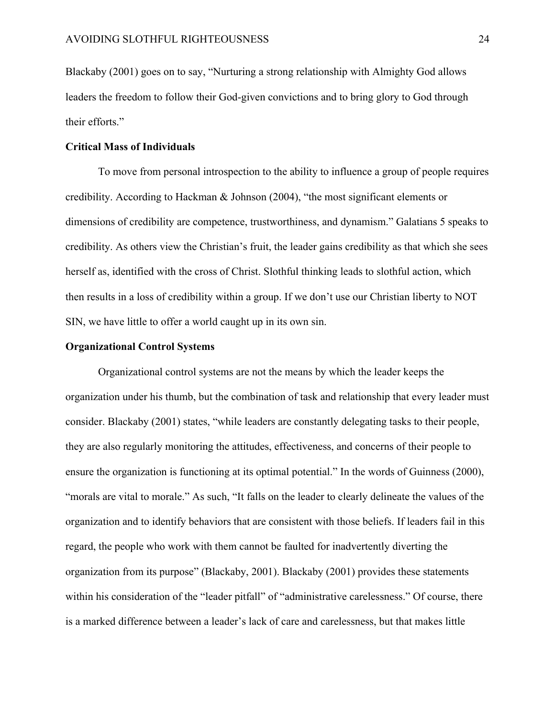Blackaby (2001) goes on to say, "Nurturing a strong relationship with Almighty God allows leaders the freedom to follow their God-given convictions and to bring glory to God through their efforts."

#### **Critical Mass of Individuals**

To move from personal introspection to the ability to influence a group of people requires credibility. According to Hackman & Johnson (2004), "the most significant elements or dimensions of credibility are competence, trustworthiness, and dynamism." Galatians 5 speaks to credibility. As others view the Christian's fruit, the leader gains credibility as that which she sees herself as, identified with the cross of Christ. Slothful thinking leads to slothful action, which then results in a loss of credibility within a group. If we don't use our Christian liberty to NOT SIN, we have little to offer a world caught up in its own sin.

#### **Organizational Control Systems**

Organizational control systems are not the means by which the leader keeps the organization under his thumb, but the combination of task and relationship that every leader must consider. Blackaby (2001) states, "while leaders are constantly delegating tasks to their people, they are also regularly monitoring the attitudes, effectiveness, and concerns of their people to ensure the organization is functioning at its optimal potential." In the words of Guinness (2000), "morals are vital to morale." As such, "It falls on the leader to clearly delineate the values of the organization and to identify behaviors that are consistent with those beliefs. If leaders fail in this regard, the people who work with them cannot be faulted for inadvertently diverting the organization from its purpose" (Blackaby, 2001). Blackaby (2001) provides these statements within his consideration of the "leader pitfall" of "administrative carelessness." Of course, there is a marked difference between a leader's lack of care and carelessness, but that makes little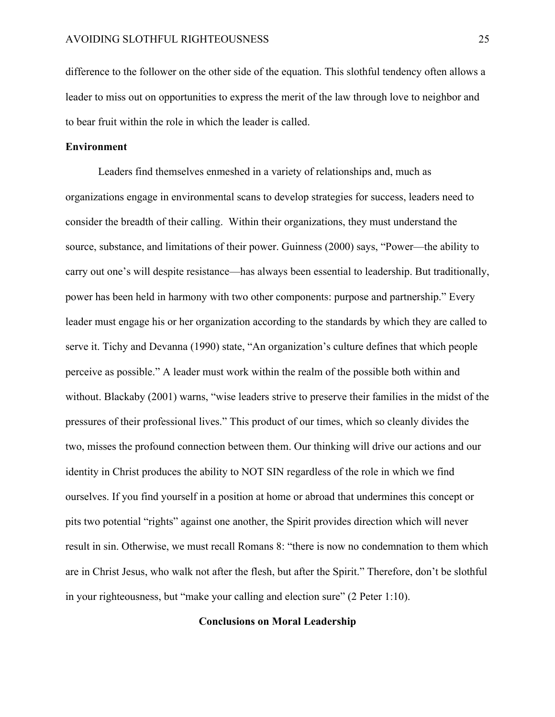difference to the follower on the other side of the equation. This slothful tendency often allows a leader to miss out on opportunities to express the merit of the law through love to neighbor and to bear fruit within the role in which the leader is called.

### **Environment**

Leaders find themselves enmeshed in a variety of relationships and, much as organizations engage in environmental scans to develop strategies for success, leaders need to consider the breadth of their calling. Within their organizations, they must understand the source, substance, and limitations of their power. Guinness (2000) says, "Power—the ability to carry out one's will despite resistance—has always been essential to leadership. But traditionally, power has been held in harmony with two other components: purpose and partnership." Every leader must engage his or her organization according to the standards by which they are called to serve it. Tichy and Devanna (1990) state, "An organization's culture defines that which people perceive as possible." A leader must work within the realm of the possible both within and without. Blackaby (2001) warns, "wise leaders strive to preserve their families in the midst of the pressures of their professional lives." This product of our times, which so cleanly divides the two, misses the profound connection between them. Our thinking will drive our actions and our identity in Christ produces the ability to NOT SIN regardless of the role in which we find ourselves. If you find yourself in a position at home or abroad that undermines this concept or pits two potential "rights" against one another, the Spirit provides direction which will never result in sin. Otherwise, we must recall Romans 8: "there is now no condemnation to them which are in Christ Jesus, who walk not after the flesh, but after the Spirit." Therefore, don't be slothful in your righteousness, but "make your calling and election sure" (2 Peter 1:10).

# **Conclusions on Moral Leadership**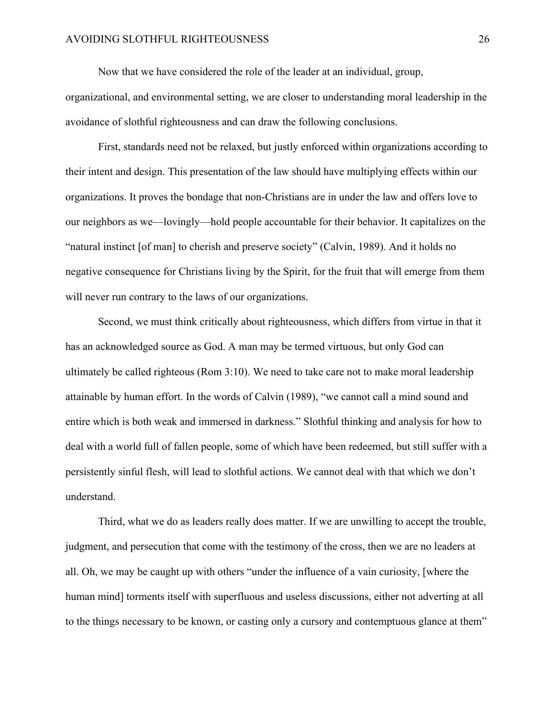Now that we have considered the role of the leader at an individual, group,

organizational, and environmental setting, we are closer to understanding moral leadership in the avoidance of slothful righteousness and can draw the following conclusions.

First, standards need not be relaxed, but justly enforced within organizations according to their intent and design. This presentation of the law should have multiplying effects within our organizations. It proves the bondage that non-Christians are in under the law and offers love to our neighbors as we—lovingly—hold people accountable for their behavior. It capitalizes on the "natural instinct [of man] to cherish and preserve society" (Calvin, 1989). And it holds no negative consequence for Christians living by the Spirit, for the fruit that will emerge from them will never run contrary to the laws of our organizations.

Second, we must think critically about righteousness, which differs from virtue in that it has an acknowledged source as God. A man may be termed virtuous, but only God can ultimately be called righteous (Rom 3:10). We need to take care not to make moral leadership attainable by human effort. In the words of Calvin (1989), "we cannot call a mind sound and entire which is both weak and immersed in darkness." Slothful thinking and analysis for how to deal with a world full of fallen people, some of which have been redeemed, but still suffer with a persistently sinful flesh, will lead to slothful actions. We cannot deal with that which we don't understand.

Third, what we do as leaders really does matter. If we are unwilling to accept the trouble, judgment, and persecution that come with the testimony of the cross, then we are no leaders at all. Oh, we may be caught up with others "under the influence of a vain curiosity, [where the human mind] torments itself with superfluous and useless discussions, either not adverting at all to the things necessary to be known, or casting only a cursory and contemptuous glance at them"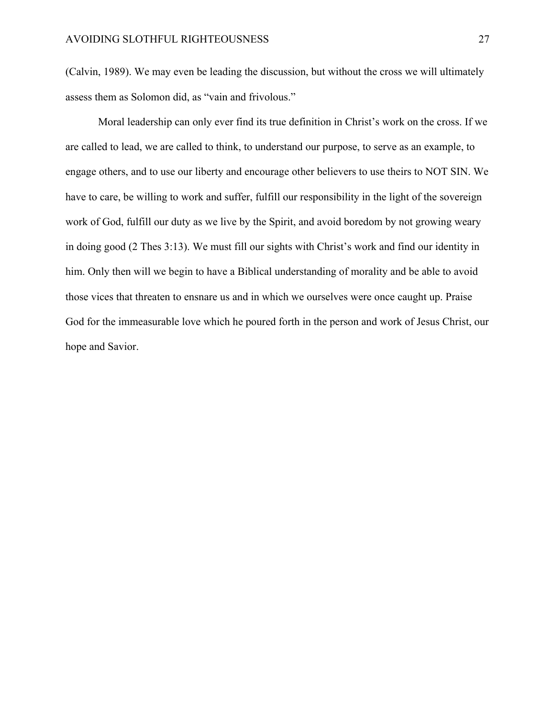(Calvin, 1989). We may even be leading the discussion, but without the cross we will ultimately assess them as Solomon did, as "vain and frivolous."

Moral leadership can only ever find its true definition in Christ's work on the cross. If we are called to lead, we are called to think, to understand our purpose, to serve as an example, to engage others, and to use our liberty and encourage other believers to use theirs to NOT SIN. We have to care, be willing to work and suffer, fulfill our responsibility in the light of the sovereign work of God, fulfill our duty as we live by the Spirit, and avoid boredom by not growing weary in doing good (2 Thes 3:13). We must fill our sights with Christ's work and find our identity in him. Only then will we begin to have a Biblical understanding of morality and be able to avoid those vices that threaten to ensnare us and in which we ourselves were once caught up. Praise God for the immeasurable love which he poured forth in the person and work of Jesus Christ, our hope and Savior.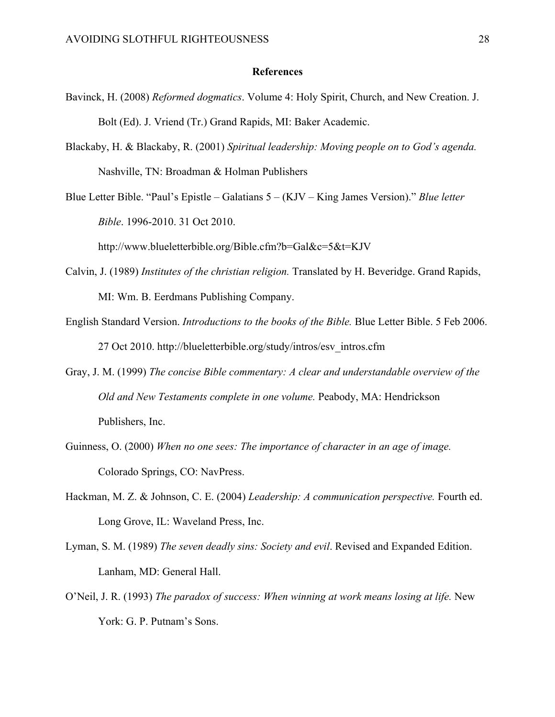#### **References**

- Bavinck, H. (2008) *Reformed dogmatics*. Volume 4: Holy Spirit, Church, and New Creation. J. Bolt (Ed). J. Vriend (Tr.) Grand Rapids, MI: Baker Academic.
- Blackaby, H. & Blackaby, R. (2001) *Spiritual leadership: Moving people on to God's agenda.* Nashville, TN: Broadman & Holman Publishers
- Blue Letter Bible. "Paul's Epistle Galatians 5 (KJV King James Version)." *Blue letter Bible*. 1996-2010. 31 Oct 2010.

http://www.blueletterbible.org/Bible.cfm?b=Gal&c=5&t=KJV

- Calvin, J. (1989) *Institutes of the christian religion.* Translated by H. Beveridge. Grand Rapids, MI: Wm. B. Eerdmans Publishing Company.
- English Standard Version. *Introductions to the books of the Bible.* Blue Letter Bible. 5 Feb 2006. 27 Oct 2010. http://blueletterbible.org/study/intros/esv\_intros.cfm
- Gray, J. M. (1999) *The concise Bible commentary: A clear and understandable overview of the Old and New Testaments complete in one volume.* Peabody, MA: Hendrickson Publishers, Inc.
- Guinness, O. (2000) *When no one sees: The importance of character in an age of image.*  Colorado Springs, CO: NavPress.
- Hackman, M. Z. & Johnson, C. E. (2004) *Leadership: A communication perspective.* Fourth ed. Long Grove, IL: Waveland Press, Inc.
- Lyman, S. M. (1989) *The seven deadly sins: Society and evil*. Revised and Expanded Edition. Lanham, MD: General Hall.
- O'Neil, J. R. (1993) *The paradox of success: When winning at work means losing at life.* New York: G. P. Putnam's Sons.